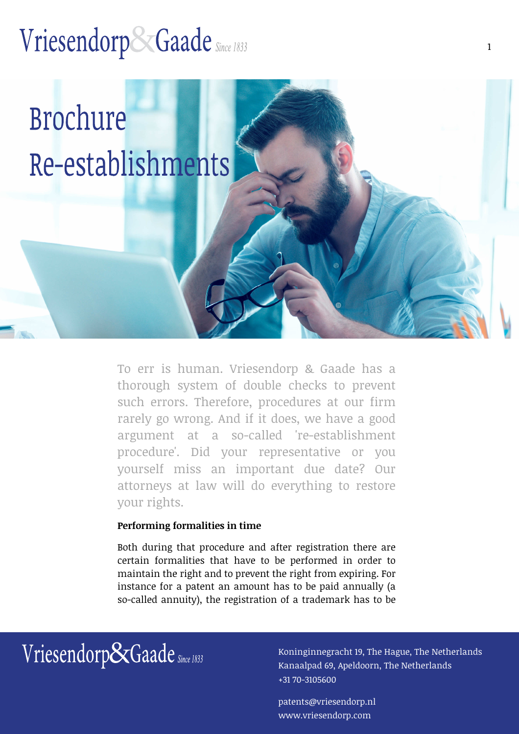## Vriesendorp&Gaade Since 1833

# **Brochure** Re-establishments

To err is human. Vriesendorp & Gaade has a thorough system of double checks to prevent such errors. Therefore, procedures at our firm rarely go wrong. And if it does, we have a good argument at a so-called 're-establishment procedure'. Did your representative or you yourself miss an important due date? Our attorneys at law will do everything to restore your rights.

#### **Performing formalities in time**

Both during that procedure and after registration there are certain formalities that have to be performed in order to maintain the right and to prevent the right from expiring. For instance for a patent an amount has to be paid annually (a so-called annuity), the registration of a trademark has to be

### $Vriesendo rpc\n$ Gaade  $Sine 1833$   $Vriesen 19$ , The Hague, The Netherlands

Kanaalpad 69, Apeldoorn, The Netherlands +31 70-3105600

patents@vriesendorp.nl www.vriesendorp.com